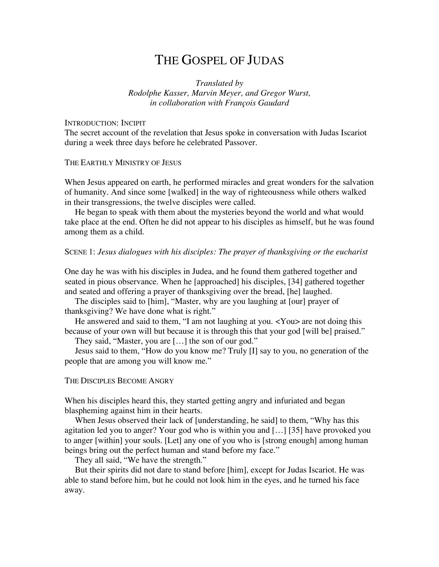# THE GOSPEL OF JUDAS

*Translated by Rodolphe Kasser, Marvin Meyer, and Gregor Wurst, in collaboration with François Gaudard*

INTRODUCTION: INCIPIT

The secret account of the revelation that Jesus spoke in conversation with Judas Iscariot during a week three days before he celebrated Passover.

THE EARTHLY MINISTRY OF JESUS

When Jesus appeared on earth, he performed miracles and great wonders for the salvation of humanity. And since some [walked] in the way of righteousness while others walked in their transgressions, the twelve disciples were called.

He began to speak with them about the mysteries beyond the world and what would take place at the end. Often he did not appear to his disciples as himself, but he was found among them as a child.

## SCENE 1: *Jesus dialogues with his disciples: The prayer of thanksgiving or the eucharist*

One day he was with his disciples in Judea, and he found them gathered together and seated in pious observance. When he [approached] his disciples, [34] gathered together and seated and offering a prayer of thanksgiving over the bread, [he] laughed.

The disciples said to [him], "Master, why are you laughing at [our] prayer of thanksgiving? We have done what is right."

He answered and said to them, "I am not laughing at you. <You> are not doing this because of your own will but because it is through this that your god [will be] praised."

They said, "Master, you are […] the son of our god."

Jesus said to them, "How do you know me? Truly [I] say to you, no generation of the people that are among you will know me."

#### THE DISCIPLES BECOME ANGRY

When his disciples heard this, they started getting angry and infuriated and began blaspheming against him in their hearts.

When Jesus observed their lack of [understanding, he said] to them, "Why has this agitation led you to anger? Your god who is within you and […] [35] have provoked you to anger [within] your souls. [Let] any one of you who is [strong enough] among human beings bring out the perfect human and stand before my face."

They all said, "We have the strength."

But their spirits did not dare to stand before [him], except for Judas Iscariot. He was able to stand before him, but he could not look him in the eyes, and he turned his face away.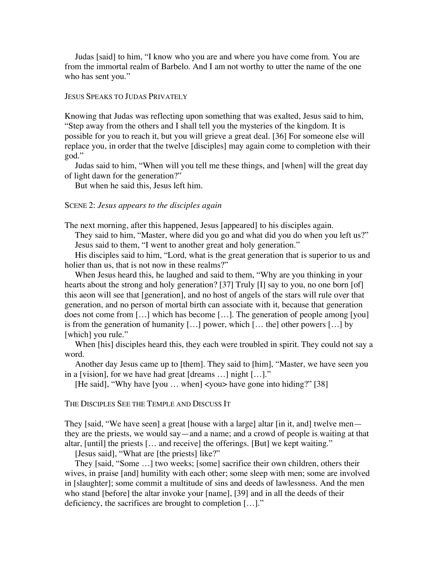Judas [said] to him, "I know who you are and where you have come from. You are from the immortal realm of Barbelo. And I am not worthy to utter the name of the one who has sent you."

#### JESUS SPEAKS TO JUDAS PRIVATELY

Knowing that Judas was reflecting upon something that was exalted, Jesus said to him, "Step away from the others and I shall tell you the mysteries of the kingdom. It is possible for you to reach it, but you will grieve a great deal. [36] For someone else will replace you, in order that the twelve [disciples] may again come to completion with their god."

Judas said to him, "When will you tell me these things, and [when] will the great day of light dawn for the generation?"

But when he said this, Jesus left him.

#### SCENE 2: *Jesus appears to the disciples again*

The next morning, after this happened, Jesus [appeared] to his disciples again. They said to him, "Master, where did you go and what did you do when you left us?" Jesus said to them, "I went to another great and holy generation."

His disciples said to him, "Lord, what is the great generation that is superior to us and holier than us, that is not now in these realms?"

When Jesus heard this, he laughed and said to them, "Why are you thinking in your hearts about the strong and holy generation? [37] Truly [I] say to you, no one born [of] this aeon will see that [generation], and no host of angels of the stars will rule over that generation, and no person of mortal birth can associate with it, because that generation does not come from […] which has become […]. The generation of people among [you] is from the generation of humanity […] power, which [… the] other powers […] by [which] you rule."

When [his] disciples heard this, they each were troubled in spirit. They could not say a word.

Another day Jesus came up to [them]. They said to [him], "Master, we have seen you in a [vision], for we have had great [dreams …] night […]."

[He said], "Why have [you ... when] <you > have gone into hiding?" [38]

THE DISCIPLES SEE THE TEMPLE AND DISCUSS IT

They [said, "We have seen] a great [house with a large] altar [in it, and] twelve men they are the priests, we would say—and a name; and a crowd of people is waiting at that altar, [until] the priests [… and receive] the offerings. [But] we kept waiting."

[Jesus said], "What are [the priests] like?"

They [said, "Some …] two weeks; [some] sacrifice their own children, others their wives, in praise [and] humility with each other; some sleep with men; some are involved in [slaughter]; some commit a multitude of sins and deeds of lawlessness. And the men who stand [before] the altar invoke your [name], [39] and in all the deeds of their deficiency, the sacrifices are brought to completion […]."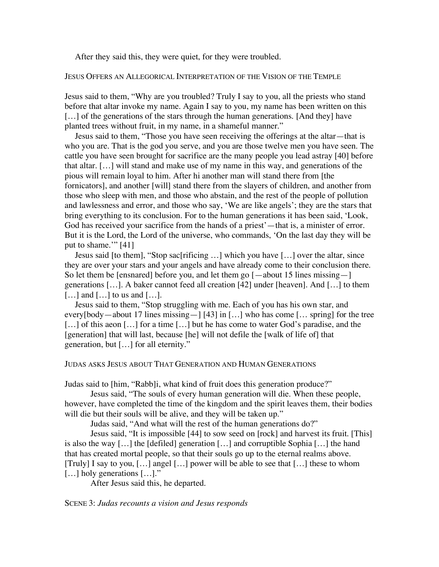After they said this, they were quiet, for they were troubled.

JESUS OFFERS AN ALLEGORICAL INTERPRETATION OF THE VISION OF THE TEMPLE

Jesus said to them, "Why are you troubled? Truly I say to you, all the priests who stand before that altar invoke my name. Again I say to you, my name has been written on this [...] of the generations of the stars through the human generations. [And they] have planted trees without fruit, in my name, in a shameful manner."

Jesus said to them, "Those you have seen receiving the offerings at the altar—that is who you are. That is the god you serve, and you are those twelve men you have seen. The cattle you have seen brought for sacrifice are the many people you lead astray [40] before that altar. […] will stand and make use of my name in this way, and generations of the pious will remain loyal to him. After hi another man will stand there from [the fornicators], and another [will] stand there from the slayers of children, and another from those who sleep with men, and those who abstain, and the rest of the people of pollution and lawlessness and error, and those who say, 'We are like angels'; they are the stars that bring everything to its conclusion. For to the human generations it has been said, 'Look, God has received your sacrifice from the hands of a priest'—that is, a minister of error. But it is the Lord, the Lord of the universe, who commands, 'On the last day they will be put to shame.'" [41]

Jesus said [to them], "Stop sac[rificing …] which you have […] over the altar, since they are over your stars and your angels and have already come to their conclusion there. So let them be [ensnared] before you, and let them go  $[-$ about 15 lines missing- $]$ generations […]. A baker cannot feed all creation [42] under [heaven]. And […] to them  $[\dots]$  and  $[\dots]$  to us and  $[\dots]$ .

Jesus said to them, "Stop struggling with me. Each of you has his own star, and every[body—about 17 lines missing—] [43] in […] who has come [… spring] for the tree [...] of this aeon [...] for a time [...] but he has come to water God's paradise, and the [generation] that will last, because [he] will not defile the [walk of life of] that generation, but […] for all eternity."

JUDAS ASKS JESUS ABOUT THAT GENERATION AND HUMAN GENERATIONS

Judas said to [him, "Rabb]i, what kind of fruit does this generation produce?"

Jesus said, "The souls of every human generation will die. When these people, however, have completed the time of the kingdom and the spirit leaves them, their bodies will die but their souls will be alive, and they will be taken up."

Judas said, "And what will the rest of the human generations do?"

Jesus said, "It is impossible [44] to sow seed on [rock] and harvest its fruit. [This] is also the way […] the [defiled] generation […] and corruptible Sophia […] the hand that has created mortal people, so that their souls go up to the eternal realms above. [Truly] I say to you, […] angel […] power will be able to see that […] these to whom [...] holy generations  $[\dots]$ ."

After Jesus said this, he departed.

SCENE 3: *Judas recounts a vision and Jesus responds*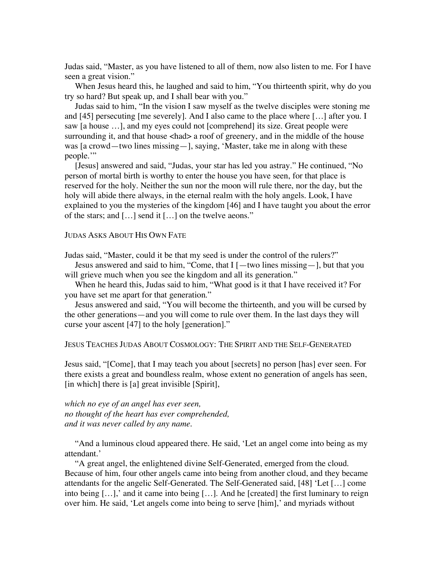Judas said, "Master, as you have listened to all of them, now also listen to me. For I have seen a great vision."

When Jesus heard this, he laughed and said to him, "You thirteenth spirit, why do you try so hard? But speak up, and I shall bear with you."

Judas said to him, "In the vision I saw myself as the twelve disciples were stoning me and [45] persecuting [me severely]. And I also came to the place where […] after you. I saw [a house …], and my eyes could not [comprehend] its size. Great people were surrounding it, and that house <had> a roof of greenery, and in the middle of the house was [a crowd—two lines missing—], saying, 'Master, take me in along with these people.'"

[Jesus] answered and said, "Judas, your star has led you astray." He continued, "No person of mortal birth is worthy to enter the house you have seen, for that place is reserved for the holy. Neither the sun nor the moon will rule there, nor the day, but the holy will abide there always, in the eternal realm with the holy angels. Look, I have explained to you the mysteries of the kingdom [46] and I have taught you about the error of the stars; and […] send it […] on the twelve aeons."

JUDAS ASKS ABOUT HIS OWN FATE

Judas said, "Master, could it be that my seed is under the control of the rulers?"

Jesus answered and said to him, "Come, that I [—two lines missing—], but that you will grieve much when you see the kingdom and all its generation."

When he heard this, Judas said to him, "What good is it that I have received it? For you have set me apart for that generation."

Jesus answered and said, "You will become the thirteenth, and you will be cursed by the other generations—and you will come to rule over them. In the last days they will curse your ascent [47] to the holy [generation]."

JESUS TEACHES JUDAS ABOUT COSMOLOGY: THE SPIRIT AND THE SELF-GENERATED

Jesus said, "[Come], that I may teach you about [secrets] no person [has] ever seen. For there exists a great and boundless realm, whose extent no generation of angels has seen, [in which] there is [a] great invisible [Spirit],

*which no eye of an angel has ever seen, no thought of the heart has ever comprehended, and it was never called by any name.*

"And a luminous cloud appeared there. He said, 'Let an angel come into being as my attendant.'

"A great angel, the enlightened divine Self-Generated, emerged from the cloud. Because of him, four other angels came into being from another cloud, and they became attendants for the angelic Self-Generated. The Self-Generated said, [48] 'Let […] come into being […],' and it came into being […]. And he [created] the first luminary to reign over him. He said, 'Let angels come into being to serve [him],' and myriads without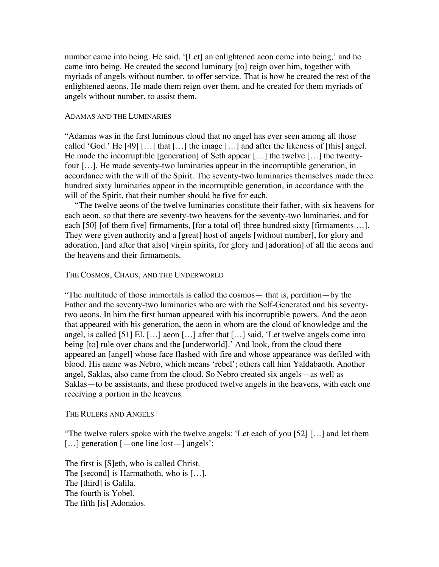number came into being. He said, '[Let] an enlightened aeon come into being,' and he came into being. He created the second luminary [to] reign over him, together with myriads of angels without number, to offer service. That is how he created the rest of the enlightened aeons. He made them reign over them, and he created for them myriads of angels without number, to assist them.

## ADAMAS AND THE LUMINARIES

"Adamas was in the first luminous cloud that no angel has ever seen among all those called 'God.' He [49] […] that […] the image […] and after the likeness of [this] angel. He made the incorruptible [generation] of Seth appear […] the twelve […] the twentyfour […]. He made seventy-two luminaries appear in the incorruptible generation, in accordance with the will of the Spirit. The seventy-two luminaries themselves made three hundred sixty luminaries appear in the incorruptible generation, in accordance with the will of the Spirit, that their number should be five for each.

"The twelve aeons of the twelve luminaries constitute their father, with six heavens for each aeon, so that there are seventy-two heavens for the seventy-two luminaries, and for each [50] [of them five] firmaments, [for a total of] three hundred sixty [firmaments ...]. They were given authority and a [great] host of angels [without number], for glory and adoration, [and after that also] virgin spirits, for glory and [adoration] of all the aeons and the heavens and their firmaments.

## THE COSMOS, CHAOS, AND THE UNDERWORLD

"The multitude of those immortals is called the cosmos— that is, perdition—by the Father and the seventy-two luminaries who are with the Self-Generated and his seventytwo aeons. In him the first human appeared with his incorruptible powers. And the aeon that appeared with his generation, the aeon in whom are the cloud of knowledge and the angel, is called [51] El. […] aeon […] after that […] said, 'Let twelve angels come into being [to] rule over chaos and the [underworld].' And look, from the cloud there appeared an [angel] whose face flashed with fire and whose appearance was defiled with blood. His name was Nebro, which means 'rebel'; others call him Yaldabaoth. Another angel, Saklas, also came from the cloud. So Nebro created six angels—as well as Saklas—to be assistants, and these produced twelve angels in the heavens, with each one receiving a portion in the heavens.

#### THE RULERS AND ANGELS

"The twelve rulers spoke with the twelve angels: 'Let each of you [52] […] and let them [...] generation  $[-one$  line lost—] angels':

The first is [S]eth, who is called Christ. The [second] is Harmathoth, who is [...]. The [third] is Galila. The fourth is Yobel. The fifth [is] Adonaios.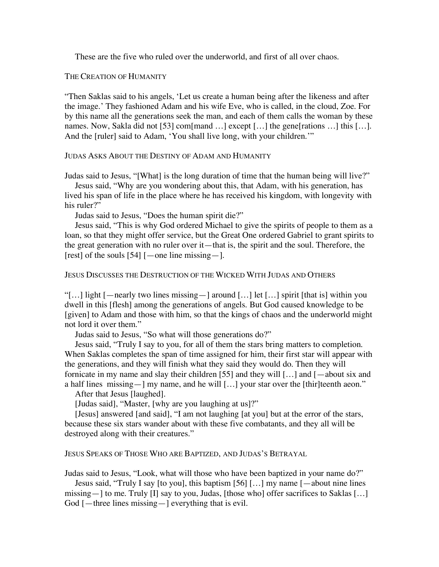These are the five who ruled over the underworld, and first of all over chaos.

## THE CREATION OF HUMANITY

"Then Saklas said to his angels, 'Let us create a human being after the likeness and after the image.' They fashioned Adam and his wife Eve, who is called, in the cloud, Zoe. For by this name all the generations seek the man, and each of them calls the woman by these names. Now, Sakla did not [53] com[mand ...] except [...] the gene[rations ...] this [...]. And the [ruler] said to Adam, 'You shall live long, with your children.'"

## JUDAS ASKS ABOUT THE DESTINY OF ADAM AND HUMANITY

Judas said to Jesus, "[What] is the long duration of time that the human being will live?"

Jesus said, "Why are you wondering about this, that Adam, with his generation, has lived his span of life in the place where he has received his kingdom, with longevity with his ruler?"

Judas said to Jesus, "Does the human spirit die?"

Jesus said, "This is why God ordered Michael to give the spirits of people to them as a loan, so that they might offer service, but the Great One ordered Gabriel to grant spirits to the great generation with no ruler over it—that is, the spirit and the soul. Therefore, the [rest] of the souls [54]  $[-one$  line missing-].

## JESUS DISCUSSES THE DESTRUCTION OF THE WICKED WITH JUDAS AND OTHERS

"[…] light [—nearly two lines missing—] around […] let […] spirit [that is] within you dwell in this [flesh] among the generations of angels. But God caused knowledge to be [given] to Adam and those with him, so that the kings of chaos and the underworld might not lord it over them."

Judas said to Jesus, "So what will those generations do?"

Jesus said, "Truly I say to you, for all of them the stars bring matters to completion. When Saklas completes the span of time assigned for him, their first star will appear with the generations, and they will finish what they said they would do. Then they will fornicate in my name and slay their children [55] and they will […] and [—about six and a half lines missing—] my name, and he will […] your star over the [thir]teenth aeon."

After that Jesus [laughed].

[Judas said], "Master, [why are you laughing at us]?"

[Jesus] answered [and said], "I am not laughing [at you] but at the error of the stars, because these six stars wander about with these five combatants, and they all will be destroyed along with their creatures."

JESUS SPEAKS OF THOSE WHO ARE BAPTIZED, AND JUDAS'S BETRAYAL

Judas said to Jesus, "Look, what will those who have been baptized in your name do?" Jesus said, "Truly I say [to you], this baptism [56] […] my name [—about nine lines missing—] to me. Truly [I] say to you, Judas, [those who] offer sacrifices to Saklas […] God [—three lines missing—] everything that is evil.